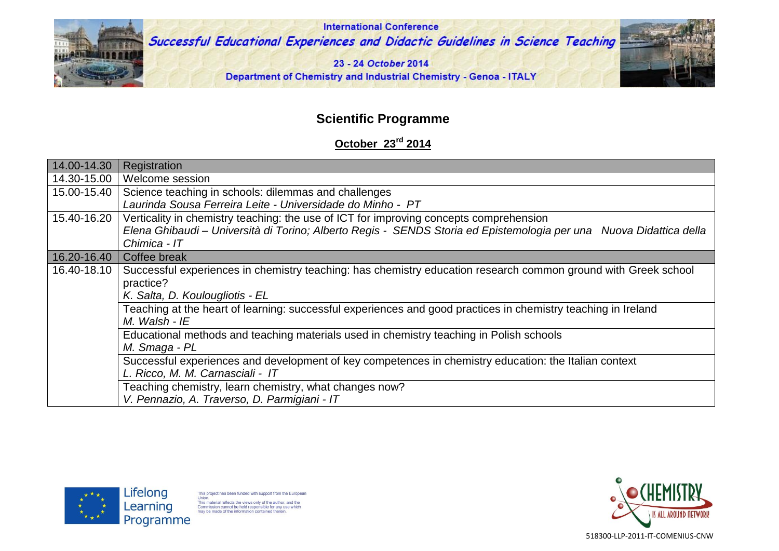

**International Conference** Successful Educational Experiences and Didactic Guidelines in Science Teaching

23 - 24 October 2014

Department of Chemistry and Industrial Chemistry - Genoa - ITALY



## **Scientific Programme**

## **October 23rd 2014**

| 14.00-14.30 | Registration                                                                                                       |
|-------------|--------------------------------------------------------------------------------------------------------------------|
| 14.30-15.00 | Welcome session                                                                                                    |
| 15.00-15.40 | Science teaching in schools: dilemmas and challenges                                                               |
|             | Laurinda Sousa Ferreira Leite - Universidade do Minho - PT                                                         |
| 15.40-16.20 | Verticality in chemistry teaching: the use of ICT for improving concepts comprehension                             |
|             | Elena Ghibaudi – Università di Torino; Alberto Regis - SENDS Storia ed Epistemologia per una Nuova Didattica della |
|             | Chimica - IT                                                                                                       |
| 16.20-16.40 | Coffee break                                                                                                       |
| 16.40-18.10 | Successful experiences in chemistry teaching: has chemistry education research common ground with Greek school     |
|             | practice?                                                                                                          |
|             | K. Salta, D. Koulougliotis - EL                                                                                    |
|             | Teaching at the heart of learning: successful experiences and good practices in chemistry teaching in Ireland      |
|             | $M.$ Walsh - IE                                                                                                    |
|             | Educational methods and teaching materials used in chemistry teaching in Polish schools                            |
|             | M. Smaga - PL                                                                                                      |
|             | Successful experiences and development of key competences in chemistry education: the Italian context              |
|             | L. Ricco, M. M. Carnasciali - IT                                                                                   |
|             | Teaching chemistry, learn chemistry, what changes now?                                                             |
|             | V. Pennazio, A. Traverso, D. Parmigiani - IT                                                                       |



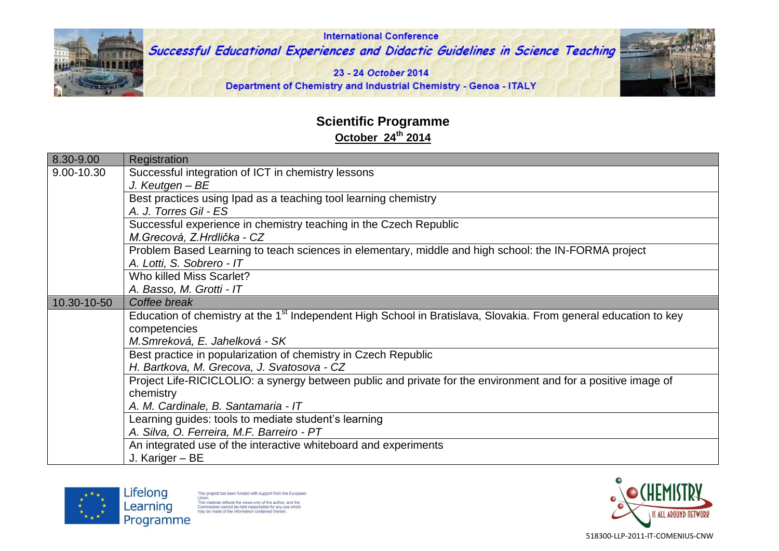

## **Scientific Programme October 24 th 2014**

| 8.30-9.00   | Registration                                                                                                                      |
|-------------|-----------------------------------------------------------------------------------------------------------------------------------|
| 9.00-10.30  | Successful integration of ICT in chemistry lessons                                                                                |
|             | J. Keutgen - BE                                                                                                                   |
|             | Best practices using Ipad as a teaching tool learning chemistry<br>A. J. Torres Gil - ES                                          |
|             | Successful experience in chemistry teaching in the Czech Republic<br>M. Grecová, Z. Hrdlička - CZ                                 |
|             | Problem Based Learning to teach sciences in elementary, middle and high school: the IN-FORMA project<br>A. Lotti, S. Sobrero - IT |
|             | Who killed Miss Scarlet?                                                                                                          |
|             | A. Basso, M. Grotti - IT                                                                                                          |
| 10.30-10-50 | Coffee break                                                                                                                      |
|             | Education of chemistry at the 1 <sup>st</sup> Independent High School in Bratislava, Slovakia. From general education to key      |
|             | competencies                                                                                                                      |
|             | M.Smreková, E. Jahelková - SK                                                                                                     |
|             | Best practice in popularization of chemistry in Czech Republic                                                                    |
|             | H. Bartkova, M. Grecova, J. Svatosova - CZ                                                                                        |
|             | Project Life-RICICLOLIO: a synergy between public and private for the environment and for a positive image of                     |
|             | chemistry                                                                                                                         |
|             | A. M. Cardinale, B. Santamaria - IT                                                                                               |
|             | Learning guides: tools to mediate student's learning                                                                              |
|             | A. Silva, O. Ferreira, M.F. Barreiro - PT                                                                                         |
|             | An integrated use of the interactive whiteboard and experiments                                                                   |
|             | J. Kariger - BE                                                                                                                   |





518300-LLP-2011-IT-COMENIUS-CNW